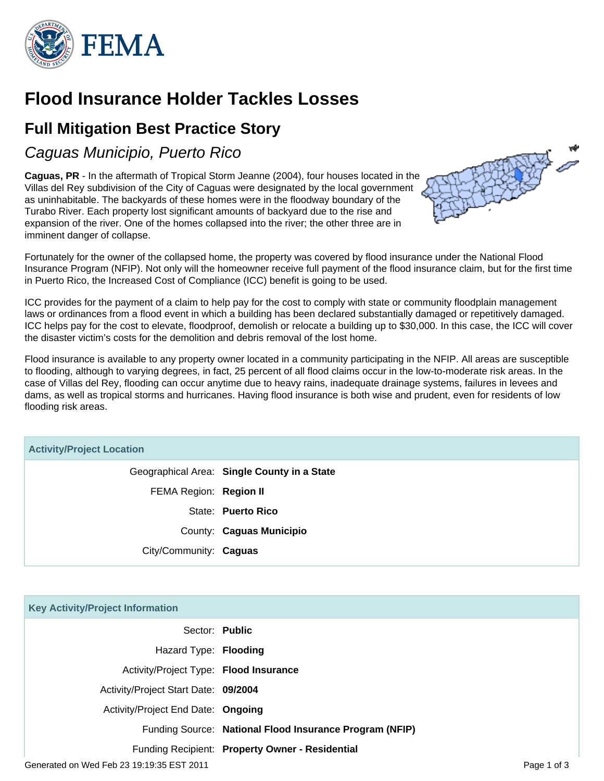

# **Flood Insurance Holder Tackles Losses**

## **Full Mitigation Best Practice Story**

Caguas Municipio, Puerto Rico

**Caguas, PR** - In the aftermath of Tropical Storm Jeanne (2004), four houses located in the Villas del Rey subdivision of the City of Caguas were designated by the local government as uninhabitable. The backyards of these homes were in the floodway boundary of the Turabo River. Each property lost significant amounts of backyard due to the rise and expansion of the river. One of the homes collapsed into the river; the other three are in imminent danger of collapse.



Fortunately for the owner of the collapsed home, the property was covered by flood insurance under the National Flood Insurance Program (NFIP). Not only will the homeowner receive full payment of the flood insurance claim, but for the first time in Puerto Rico, the Increased Cost of Compliance (ICC) benefit is going to be used.

ICC provides for the payment of a claim to help pay for the cost to comply with state or community floodplain management laws or ordinances from a flood event in which a building has been declared substantially damaged or repetitively damaged. ICC helps pay for the cost to elevate, floodproof, demolish or relocate a building up to \$30,000. In this case, the ICC will cover the disaster victim's costs for the demolition and debris removal of the lost home.

Flood insurance is available to any property owner located in a community participating in the NFIP. All areas are susceptible to flooding, although to varying degrees, in fact, 25 percent of all flood claims occur in the low-to-moderate risk areas. In the case of Villas del Rey, flooding can occur anytime due to heavy rains, inadequate drainage systems, failures in levees and dams, as well as tropical storms and hurricanes. Having flood insurance is both wise and prudent, even for residents of low flooding risk areas.

### **Activity/Project Location**

Geographical Area: **Single County in a State** FEMA Region: **Region II** State: **Puerto Rico** County: **Caguas Municipio** City/Community: **Caguas**

| <b>Key Activity/Project Information</b>   |                                                         |             |
|-------------------------------------------|---------------------------------------------------------|-------------|
| Sector: Public                            |                                                         |             |
| Hazard Type: Flooding                     |                                                         |             |
| Activity/Project Type: Flood Insurance    |                                                         |             |
| Activity/Project Start Date: 09/2004      |                                                         |             |
| Activity/Project End Date: Ongoing        |                                                         |             |
|                                           | Funding Source: National Flood Insurance Program (NFIP) |             |
|                                           | Funding Recipient: Property Owner - Residential         |             |
| Generated on Wed Feb 23 19:19:35 EST 2011 |                                                         | Page 1 of 3 |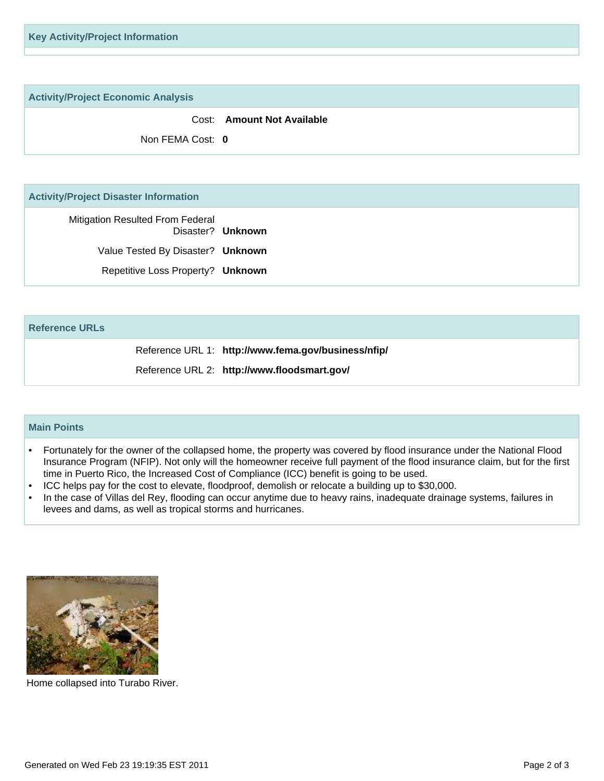**Key Activity/Project Information**

**Activity/Project Economic Analysis**

Cost: **Amount Not Available**

Non FEMA Cost: **0**

#### **Activity/Project Disaster Information**

Mitigation Resulted From Federal Disaster? **Unknown** Value Tested By Disaster? **Unknown** Repetitive Loss Property? **Unknown**

#### **Reference URLs**

Reference URL 1: **http://www.fema.gov/business/nfip/**

Reference URL 2: **http://www.floodsmart.gov/**

#### **Main Points**

- Fortunately for the owner of the collapsed home, the property was covered by flood insurance under the National Flood Insurance Program (NFIP). Not only will the homeowner receive full payment of the flood insurance claim, but for the first time in Puerto Rico, the Increased Cost of Compliance (ICC) benefit is going to be used. •
- ICC helps pay for the cost to elevate, floodproof, demolish or relocate a building up to \$30,000.
- In the case of Villas del Rey, flooding can occur anytime due to heavy rains, inadequate drainage systems, failures in levees and dams, as well as tropical storms and hurricanes. •



Home collapsed into Turabo River.